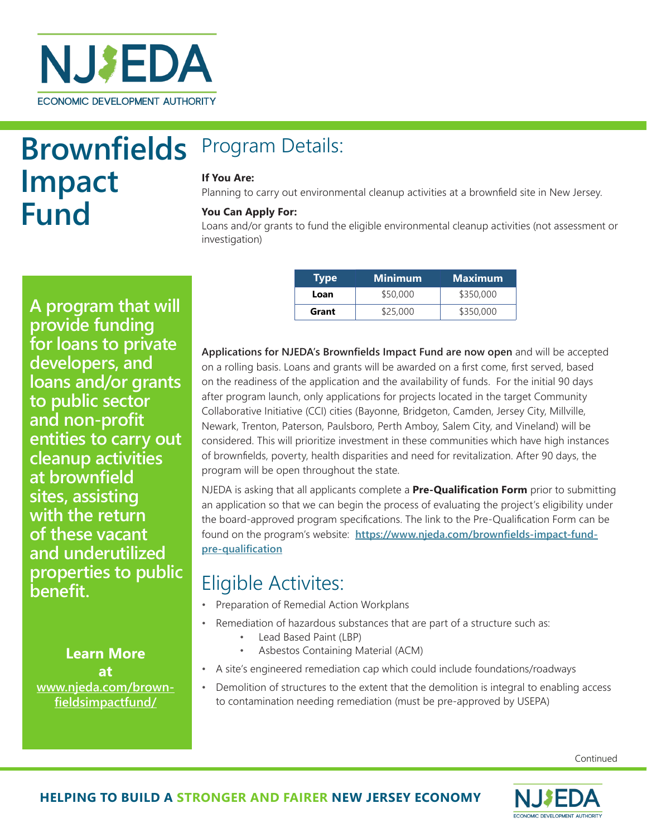

**Brownfields Impact Fund**

# Program Details:

#### **If You Are:**

Planning to carry out environmental cleanup activities at a brownfield site in New Jersey.

#### **You Can Apply For:**

Loans and/or grants to fund the eligible environmental cleanup activities (not assessment or investigation)

**A program that will provide funding for loans to private developers, and loans and/or grants to public sector and non-profit entities to carry out cleanup activities at brownfield sites, assisting with the return of these vacant and underutilized properties to public benefit.**

### **Learn More at www.njeda.com/brownfieldsimpactfund/**

|  | Type  | <b>Minimum</b> | <b>Maximum</b> |
|--|-------|----------------|----------------|
|  | Loan  | \$50,000       | \$350,000      |
|  | Grant | \$25,000       | \$350,000      |

**Applications for NJEDA's Brownfields Impact Fund are now open** and will be accepted on a rolling basis. Loans and grants will be awarded on a first come, first served, based on the readiness of the application and the availability of funds. For the initial 90 days after program launch, only applications for projects located in the target Community Collaborative Initiative (CCI) cities (Bayonne, Bridgeton, Camden, Jersey City, Millville, Newark, Trenton, Paterson, Paulsboro, Perth Amboy, Salem City, and Vineland) will be considered. This will prioritize investment in these communities which have high instances of brownfields, poverty, health disparities and need for revitalization. After 90 days, the program will be open throughout the state.

NJEDA is asking that all applicants complete a **Pre-Qualification Form** prior to submitting an application so that we can begin the process of evaluating the project's eligibility under the board-approved program specifications. The link to the Pre-Qualification Form can be found on the program's website: **[https://www.njeda.com/brownfields-impact-fund](https://www.njeda.com/brownfields-impact-fund-pre-qualification)[pre-qualification](https://www.njeda.com/brownfields-impact-fund-pre-qualification)**

## Eligible Activites:

- Preparation of Remedial Action Workplans
- Remediation of hazardous substances that are part of a structure such as:
	- Lead Based Paint (LBP)
	- Asbestos Containing Material (ACM)
- A site's engineered remediation cap which could include foundations/roadways
- Demolition of structures to the extent that the demolition is integral to enabling access to contamination needing remediation (must be pre-approved by USEPA)

Continued

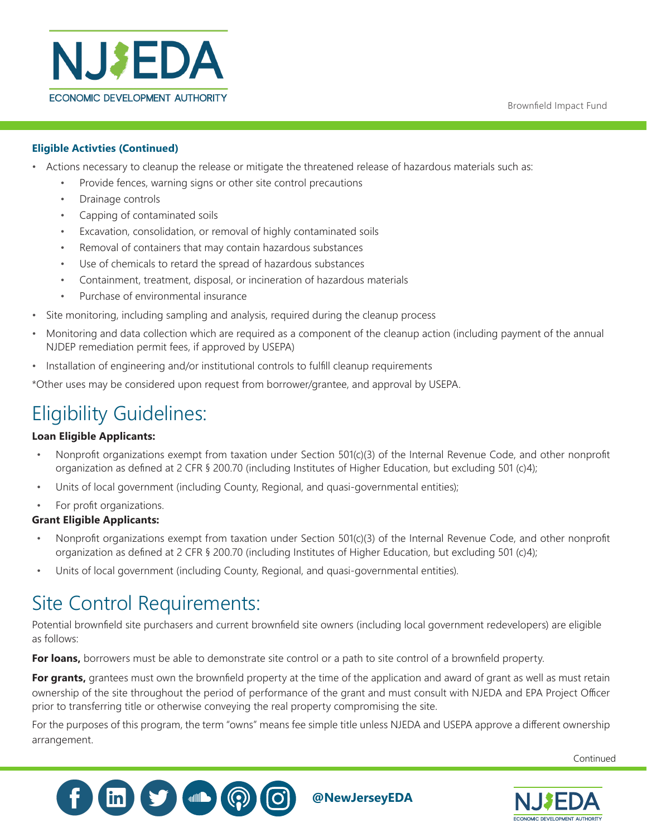

#### **Eligible Activties (Continued)**

- Actions necessary to cleanup the release or mitigate the threatened release of hazardous materials such as:
	- Provide fences, warning signs or other site control precautions
	- Drainage controls
	- Capping of contaminated soils
	- Excavation, consolidation, or removal of highly contaminated soils
	- Removal of containers that may contain hazardous substances
	- Use of chemicals to retard the spread of hazardous substances
	- Containment, treatment, disposal, or incineration of hazardous materials
	- Purchase of environmental insurance
- Site monitoring, including sampling and analysis, required during the cleanup process
- Monitoring and data collection which are required as a component of the cleanup action (including payment of the annual NJDEP remediation permit fees, if approved by USEPA)
- Installation of engineering and/or institutional controls to fulfill cleanup requirements

\*Other uses may be considered upon request from borrower/grantee, and approval by USEPA.

## Eligibility Guidelines:

#### **Loan Eligible Applicants:**

- Nonprofit organizations exempt from taxation under Section 501(c)(3) of the Internal Revenue Code, and other nonprofit organization as defined at 2 CFR § 200.70 (including Institutes of Higher Education, but excluding 501 (c)4);
- Units of local government (including County, Regional, and quasi-governmental entities);
- For profit organizations.

#### **Grant Eligible Applicants:**

- Nonprofit organizations exempt from taxation under Section 501(c)(3) of the Internal Revenue Code, and other nonprofit organization as defined at 2 CFR § 200.70 (including Institutes of Higher Education, but excluding 501 (c)4);
- Units of local government (including County, Regional, and quasi-governmental entities).

## Site Control Requirements:

Potential brownfield site purchasers and current brownfield site owners (including local government redevelopers) are eligible as follows:

**For loans,** borrowers must be able to demonstrate site control or a path to site control of a brownfield property.

**For grants,** grantees must own the brownfield property at the time of the application and award of grant as well as must retain ownership of the site throughout the period of performance of the grant and must consult with NJEDA and EPA Project Officer prior to transferring title or otherwise conveying the real property compromising the site.

For the purposes of this program, the term "owns" means fee simple title unless NJEDA and USEPA approve a different ownership arrangement.

Continued